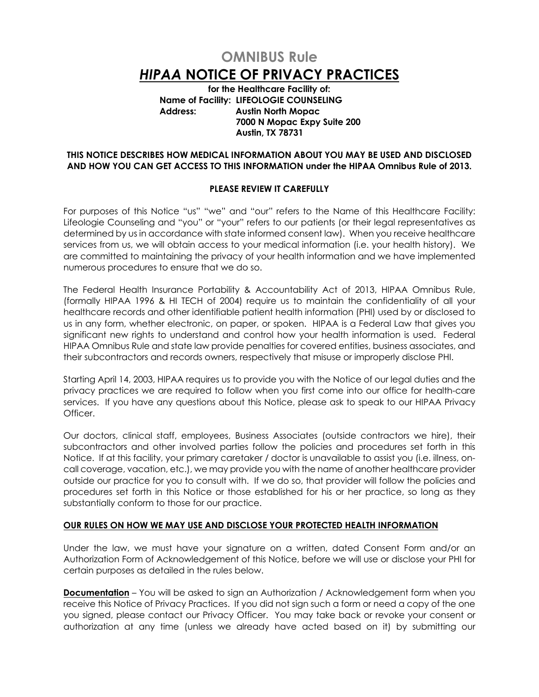# **OMNIBUS Rule**  *HIPAA* **NOTICE OF PRIVACY PRACTICES**

**for the Healthcare Facility of: Name of Facility: LIFEOLOGIE COUNSELING Address: Austin North Mopac 7000 N Mopac Expy Suite 200 Austin, TX 78731**

## **THIS NOTICE DESCRIBES HOW MEDICAL INFORMATION ABOUT YOU MAY BE USED AND DISCLOSED AND HOW YOU CAN GET ACCESS TO THIS INFORMATION under the HIPAA Omnibus Rule of 2013.**

## **PLEASE REVIEW IT CAREFULLY**

For purposes of this Notice "us" "we" and "our" refers to the Name of this Healthcare Facility: Lifeologie Counseling and "you" or "your" refers to our patients (or their legal representatives as determined by us in accordance with state informed consent law). When you receive healthcare services from us, we will obtain access to your medical information (i.e. your health history). We are committed to maintaining the privacy of your health information and we have implemented numerous procedures to ensure that we do so.

The Federal Health Insurance Portability & Accountability Act of 2013, HIPAA Omnibus Rule, (formally HIPAA 1996 & HI TECH of 2004) require us to maintain the confidentiality of all your healthcare records and other identifiable patient health information (PHI) used by or disclosed to us in any form, whether electronic, on paper, or spoken. HIPAA is a Federal Law that gives you significant new rights to understand and control how your health information is used. Federal HIPAA Omnibus Rule and state law provide penalties for covered entities, business associates, and their subcontractors and records owners, respectively that misuse or improperly disclose PHI.

Starting April 14, 2003, HIPAA requires us to provide you with the Notice of our legal duties and the privacy practices we are required to follow when you first come into our office for health-care services. If you have any questions about this Notice, please ask to speak to our HIPAA Privacy Officer.

Our doctors, clinical staff, employees, Business Associates (outside contractors we hire), their subcontractors and other involved parties follow the policies and procedures set forth in this Notice. If at this facility, your primary caretaker / doctor is unavailable to assist you (i.e. illness, oncall coverage, vacation, etc.), we may provide you with the name of another healthcare provider outside our practice for you to consult with. If we do so, that provider will follow the policies and procedures set forth in this Notice or those established for his or her practice, so long as they substantially conform to those for our practice.

## **OUR RULES ON HOW WE MAY USE AND DISCLOSE YOUR PROTECTED HEALTH INFORMATION**

Under the law, we must have your signature on a written, dated Consent Form and/or an Authorization Form of Acknowledgement of this Notice, before we will use or disclose your PHI for certain purposes as detailed in the rules below.

**Documentation** – You will be asked to sign an Authorization / Acknowledgement form when you receive this Notice of Privacy Practices. If you did not sign such a form or need a copy of the one you signed, please contact our Privacy Officer. You may take back or revoke your consent or authorization at any time (unless we already have acted based on it) by submitting our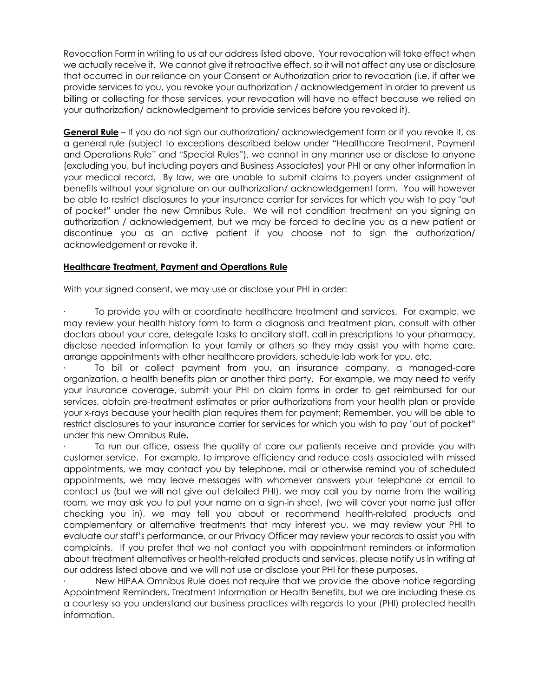Revocation Form in writing to us at our address listed above. Your revocation will take effect when we actually receive it. We cannot give it retroactive effect, so it will not affect any use or disclosure that occurred in our reliance on your Consent or Authorization prior to revocation (i.e. if after we provide services to you, you revoke your authorization / acknowledgement in order to prevent us billing or collecting for those services, your revocation will have no effect because we relied on your authorization/ acknowledgement to provide services before you revoked it).

**General Rule** – If you do not sign our authorization/ acknowledgement form or if you revoke it, as a general rule (subject to exceptions described below under "Healthcare Treatment, Payment and Operations Rule" and "Special Rules"), we cannot in any manner use or disclose to anyone (excluding you, but including payers and Business Associates) your PHI or any other information in your medical record. By law, we are unable to submit claims to payers under assignment of benefits without your signature on our authorization/ acknowledgement form. You will however be able to restrict disclosures to your insurance carrier for services for which you wish to pay "out of pocket" under the new Omnibus Rule. We will not condition treatment on you signing an authorization / acknowledgement, but we may be forced to decline you as a new patient or discontinue you as an active patient if you choose not to sign the authorization/ acknowledgement or revoke it.

## **Healthcare Treatment, Payment and Operations Rule**

With your signed consent, we may use or disclose your PHI in order:

· To provide you with or coordinate healthcare treatment and services. For example, we may review your health history form to form a diagnosis and treatment plan, consult with other doctors about your care, delegate tasks to ancillary staff, call in prescriptions to your pharmacy, disclose needed information to your family or others so they may assist you with home care, arrange appointments with other healthcare providers, schedule lab work for you, etc.

To bill or collect payment from you, an insurance company, a managed-care organization, a health benefits plan or another third party. For example, we may need to verify your insurance coverage, submit your PHI on claim forms in order to get reimbursed for our services, obtain pre-treatment estimates or prior authorizations from your health plan or provide your x-rays because your health plan requires them for payment; Remember, you will be able to restrict disclosures to your insurance carrier for services for which you wish to pay "out of pocket" under this new Omnibus Rule.

To run our office, assess the quality of care our patients receive and provide you with customer service. For example, to improve efficiency and reduce costs associated with missed appointments, we may contact you by telephone, mail or otherwise remind you of scheduled appointments, we may leave messages with whomever answers your telephone or email to contact us (but we will not give out detailed PHI), we may call you by name from the waiting room, we may ask you to put your name on a sign-in sheet, (we will cover your name just after checking you in), we may tell you about or recommend health-related products and complementary or alternative treatments that may interest you, we may review your PHI to evaluate our staff's performance, or our Privacy Officer may review your records to assist you with complaints. If you prefer that we not contact you with appointment reminders or information about treatment alternatives or health-related products and services, please notify us in writing at our address listed above and we will not use or disclose your PHI for these purposes.

New HIPAA Omnibus Rule does not require that we provide the above notice regarding Appointment Reminders, Treatment Information or Health Benefits, but we are including these as a courtesy so you understand our business practices with regards to your (PHI) protected health information.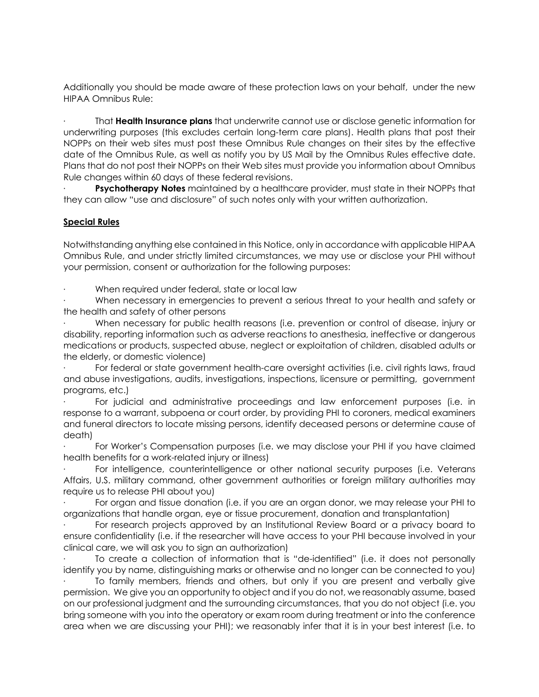Additionally you should be made aware of these protection laws on your behalf, under the new HIPAA Omnibus Rule:

· That **Health Insurance plans** that underwrite cannot use or disclose genetic information for underwriting purposes (this excludes certain long-term care plans). Health plans that post their NOPPs on their web sites must post these Omnibus Rule changes on their sites by the effective date of the Omnibus Rule, as well as notify you by US Mail by the Omnibus Rules effective date. Plans that do not post their NOPPs on their Web sites must provide you information about Omnibus Rule changes within 60 days of these federal revisions.

**Psychotherapy Notes** maintained by a healthcare provider, must state in their NOPPs that they can allow "use and disclosure" of such notes only with your written authorization.

## **Special Rules**

Notwithstanding anything else contained in this Notice, only in accordance with applicable HIPAA Omnibus Rule, and under strictly limited circumstances, we may use or disclose your PHI without your permission, consent or authorization for the following purposes:

When required under federal, state or local law

When necessary in emergencies to prevent a serious threat to your health and safety or the health and safety of other persons

· When necessary for public health reasons (i.e. prevention or control of disease, injury or disability, reporting information such as adverse reactions to anesthesia, ineffective or dangerous medications or products, suspected abuse, neglect or exploitation of children, disabled adults or the elderly, or domestic violence)

For federal or state government health-care oversight activities (i.e. civil rights laws, fraud and abuse investigations, audits, investigations, inspections, licensure or permitting, government programs, etc.)

· For judicial and administrative proceedings and law enforcement purposes (i.e. in response to a warrant, subpoena or court order, by providing PHI to coroners, medical examiners and funeral directors to locate missing persons, identify deceased persons or determine cause of death)

For Worker's Compensation purposes (i.e. we may disclose your PHI if you have claimed health benefits for a work-related injury or illness)

For intelligence, counterintelligence or other national security purposes (i.e. Veterans Affairs, U.S. military command, other government authorities or foreign military authorities may require us to release PHI about you)

For organ and tissue donation (i.e. if you are an organ donor, we may release your PHI to organizations that handle organ, eye or tissue procurement, donation and transplantation)

· For research projects approved by an Institutional Review Board or a privacy board to ensure confidentiality (i.e. if the researcher will have access to your PHI because involved in your clinical care, we will ask you to sign an authorization)

· To create a collection of information that is "de-identified" (i.e. it does not personally identify you by name, distinguishing marks or otherwise and no longer can be connected to you)

To family members, friends and others, but only if you are present and verbally give permission. We give you an opportunity to object and if you do not, we reasonably assume, based on our professional judgment and the surrounding circumstances, that you do not object (i.e. you bring someone with you into the operatory or exam room during treatment or into the conference area when we are discussing your PHI); we reasonably infer that it is in your best interest (i.e. to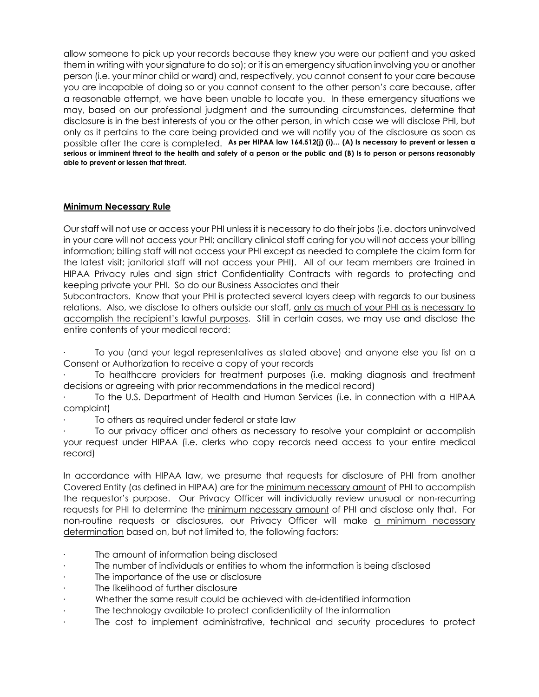allow someone to pick up your records because they knew you were our patient and you asked them in writing with your signature to do so); or it is an emergency situation involving you or another person (i.e. your minor child or ward) and, respectively, you cannot consent to your care because you are incapable of doing so or you cannot consent to the other person's care because, after a reasonable attempt, we have been unable to locate you. In these emergency situations we may, based on our professional judgment and the surrounding circumstances, determine that disclosure is in the best interests of you or the other person, in which case we will disclose PHI, but only as it pertains to the care being provided and we will notify you of the disclosure as soon as possible after the care is completed. **As per HIPAA law 164.512(j) (i)… (A) Is necessary to prevent or lessen a serious or imminent threat to the health and safety of a person or the public and (B) Is to person or persons reasonably able to prevent or lessen that threat.**

# **Minimum Necessary Rule**

Our staff will not use or access your PHI unless it is necessary to do their jobs (i.e. doctors uninvolved in your care will not access your PHI; ancillary clinical staff caring for you will not access your billing information; billing staff will not access your PHI except as needed to complete the claim form for the latest visit; janitorial staff will not access your PHI). All of our team members are trained in HIPAA Privacy rules and sign strict Confidentiality Contracts with regards to protecting and keeping private your PHI. So do our Business Associates and their

Subcontractors. Know that your PHI is protected several layers deep with regards to our business relations. Also, we disclose to others outside our staff, only as much of your PHI as is necessary to accomplish the recipient's lawful purposes. Still in certain cases, we may use and disclose the entire contents of your medical record:

· To you (and your legal representatives as stated above) and anyone else you list on a Consent or Authorization to receive a copy of your records

· To healthcare providers for treatment purposes (i.e. making diagnosis and treatment decisions or agreeing with prior recommendations in the medical record)

To the U.S. Department of Health and Human Services (i.e. in connection with a HIPAA complaint)

To others as required under federal or state law

· To our privacy officer and others as necessary to resolve your complaint or accomplish your request under HIPAA (i.e. clerks who copy records need access to your entire medical record)

In accordance with HIPAA law, we presume that requests for disclosure of PHI from another Covered Entity (as defined in HIPAA) are for the minimum necessary amount of PHI to accomplish the requestor's purpose. Our Privacy Officer will individually review unusual or non-recurring requests for PHI to determine the minimum necessary amount of PHI and disclose only that. For non-routine requests or disclosures, our Privacy Officer will make a minimum necessary determination based on, but not limited to, the following factors:

- The amount of information being disclosed
- The number of individuals or entities to whom the information is being disclosed
- The importance of the use or disclosure
- The likelihood of further disclosure
- · Whether the same result could be achieved with de-identified information
- The technology available to protect confidentiality of the information
- The cost to implement administrative, technical and security procedures to protect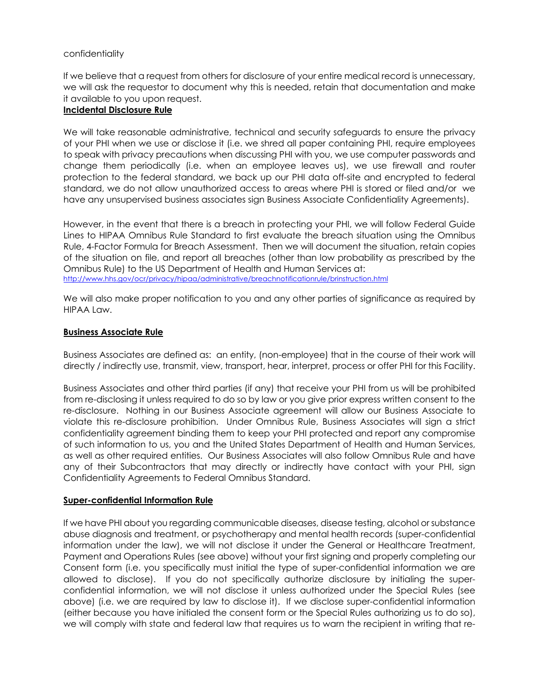## confidentiality

If we believe that a request from others for disclosure of your entire medical record is unnecessary, we will ask the requestor to document why this is needed, retain that documentation and make it available to you upon request.

#### **Incidental Disclosure Rule**

We will take reasonable administrative, technical and security safeguards to ensure the privacy of your PHI when we use or disclose it (i.e. we shred all paper containing PHI, require employees to speak with privacy precautions when discussing PHI with you, we use computer passwords and change them periodically (i.e. when an employee leaves us), we use firewall and router protection to the federal standard, we back up our PHI data off-site and encrypted to federal standard, we do not allow unauthorized access to areas where PHI is stored or filed and/or we have any unsupervised business associates sign Business Associate Confidentiality Agreements).

However, in the event that there is a breach in protecting your PHI, we will follow Federal Guide Lines to HIPAA Omnibus Rule Standard to first evaluate the breach situation using the Omnibus Rule, 4-Factor Formula for Breach Assessment. Then we will document the situation, retain copies of the situation on file, and report all breaches (other than low probability as prescribed by the Omnibus Rule) to the US Department of Health and Human Services at: http://www.hhs.gov/ocr/privacy/hipaa/administrative/breachnotificationrule/brinstruction.html

We will also make proper notification to you and any other parties of significance as required by HIPAA Law.

## **Business Associate Rule**

Business Associates are defined as: an entity, (non-employee) that in the course of their work will directly / indirectly use, transmit, view, transport, hear, interpret, process or offer PHI for this Facility.

Business Associates and other third parties (if any) that receive your PHI from us will be prohibited from re-disclosing it unless required to do so by law or you give prior express written consent to the re-disclosure. Nothing in our Business Associate agreement will allow our Business Associate to violate this re-disclosure prohibition. Under Omnibus Rule, Business Associates will sign a strict confidentiality agreement binding them to keep your PHI protected and report any compromise of such information to us, you and the United States Department of Health and Human Services, as well as other required entities. Our Business Associates will also follow Omnibus Rule and have any of their Subcontractors that may directly or indirectly have contact with your PHI, sign Confidentiality Agreements to Federal Omnibus Standard.

## **Super-confidential Information Rule**

If we have PHI about you regarding communicable diseases, disease testing, alcohol or substance abuse diagnosis and treatment, or psychotherapy and mental health records (super-confidential information under the law), we will not disclose it under the General or Healthcare Treatment, Payment and Operations Rules (see above) without your first signing and properly completing our Consent form (i.e. you specifically must initial the type of super-confidential information we are allowed to disclose). If you do not specifically authorize disclosure by initialing the superconfidential information, we will not disclose it unless authorized under the Special Rules (see above) (i.e. we are required by law to disclose it). If we disclose super-confidential information (either because you have initialed the consent form or the Special Rules authorizing us to do so), we will comply with state and federal law that requires us to warn the recipient in writing that re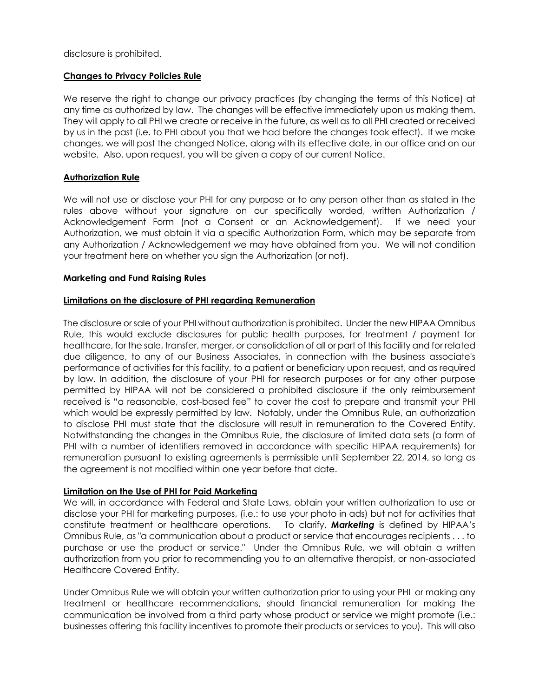disclosure is prohibited.

## **Changes to Privacy Policies Rule**

We reserve the right to change our privacy practices (by changing the terms of this Notice) at any time as authorized by law. The changes will be effective immediately upon us making them. They will apply to all PHI we create or receive in the future, as well as to all PHI created or received by us in the past (i.e. to PHI about you that we had before the changes took effect). If we make changes, we will post the changed Notice, along with its effective date, in our office and on our website. Also, upon request, you will be given a copy of our current Notice.

## **Authorization Rule**

We will not use or disclose your PHI for any purpose or to any person other than as stated in the rules above without your signature on our specifically worded, written Authorization / Acknowledgement Form (not a Consent or an Acknowledgement). If we need your Authorization, we must obtain it via a specific Authorization Form, which may be separate from any Authorization / Acknowledgement we may have obtained from you. We will not condition your treatment here on whether you sign the Authorization (or not).

## **Marketing and Fund Raising Rules**

## **Limitations on the disclosure of PHI regarding Remuneration**

The disclosure or sale of your PHI without authorization is prohibited. Under the new HIPAA Omnibus Rule, this would exclude disclosures for public health purposes, for treatment / payment for healthcare, for the sale, transfer, merger, or consolidation of all or part of this facility and for related due diligence, to any of our Business Associates, in connection with the business associate's performance of activities for this facility, to a patient or beneficiary upon request, and as required by law. In addition, the disclosure of your PHI for research purposes or for any other purpose permitted by HIPAA will not be considered a prohibited disclosure if the only reimbursement received is "a reasonable, cost-based fee" to cover the cost to prepare and transmit your PHI which would be expressly permitted by law. Notably, under the Omnibus Rule, an authorization to disclose PHI must state that the disclosure will result in remuneration to the Covered Entity. Notwithstanding the changes in the Omnibus Rule, the disclosure of limited data sets (a form of PHI with a number of identifiers removed in accordance with specific HIPAA requirements) for remuneration pursuant to existing agreements is permissible until September 22, 2014, so long as the agreement is not modified within one year before that date.

## **Limitation on the Use of PHI for Paid Marketing**

We will, in accordance with Federal and State Laws, obtain your written authorization to use or disclose your PHI for marketing purposes, (i.e.: to use your photo in ads) but not for activities that constitute treatment or healthcare operations. To clarify, *Marketing* is defined by HIPAA's Omnibus Rule, as "a communication about a product or service that encourages recipients . . . to purchase or use the product or service." Under the Omnibus Rule, we will obtain a written authorization from you prior to recommending you to an alternative therapist, or non-associated Healthcare Covered Entity.

Under Omnibus Rule we will obtain your written authorization prior to using your PHI or making any treatment or healthcare recommendations, should financial remuneration for making the communication be involved from a third party whose product or service we might promote (i.e.: businesses offering this facility incentives to promote their products or services to you). This will also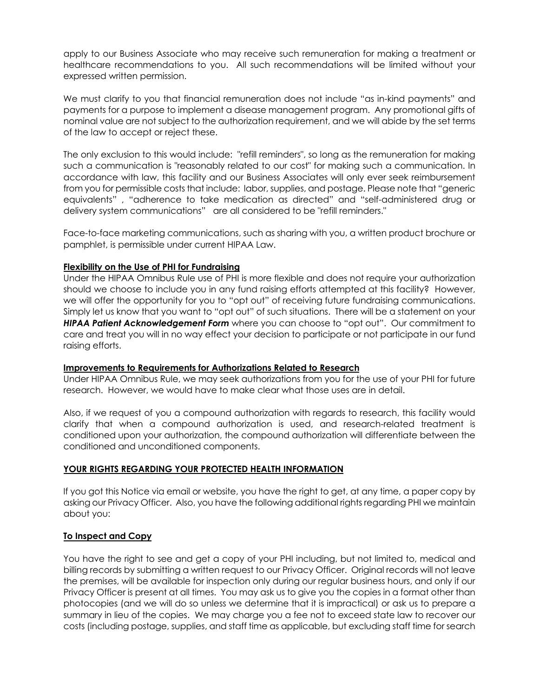apply to our Business Associate who may receive such remuneration for making a treatment or healthcare recommendations to you. All such recommendations will be limited without your expressed written permission.

We must clarify to you that financial remuneration does not include "as in-kind payments" and payments for a purpose to implement a disease management program. Any promotional gifts of nominal value are not subject to the authorization requirement, and we will abide by the set terms of the law to accept or reject these.

The only exclusion to this would include: "refill reminders", so long as the remuneration for making such a communication is "reasonably related to our cost" for making such a communication. In accordance with law, this facility and our Business Associates will only ever seek reimbursement from you for permissible costs that include: labor, supplies, and postage. Please note that "generic equivalents" , "adherence to take medication as directed" and "self-administered drug or delivery system communications" are all considered to be "refill reminders."

Face-to-face marketing communications, such as sharing with you, a written product brochure or pamphlet, is permissible under current HIPAA Law.

## **Flexibility on the Use of PHI for Fundraising**

Under the HIPAA Omnibus Rule use of PHI is more flexible and does not require your authorization should we choose to include you in any fund raising efforts attempted at this facility? However, we will offer the opportunity for you to "opt out" of receiving future fundraising communications. Simply let us know that you want to "opt out" of such situations. There will be a statement on your *HIPAA Patient Acknowledgement Form* where you can choose to "opt out". Our commitment to care and treat you will in no way effect your decision to participate or not participate in our fund raising efforts.

## **Improvements to Requirements for Authorizations Related to Research**

Under HIPAA Omnibus Rule, we may seek authorizations from you for the use of your PHI for future research. However, we would have to make clear what those uses are in detail.

Also, if we request of you a compound authorization with regards to research, this facility would clarify that when a compound authorization is used, and research-related treatment is conditioned upon your authorization, the compound authorization will differentiate between the conditioned and unconditioned components.

## **YOUR RIGHTS REGARDING YOUR PROTECTED HEALTH INFORMATION**

If you got this Notice via email or website, you have the right to get, at any time, a paper copy by asking our Privacy Officer. Also, you have the following additional rights regarding PHI we maintain about you:

## **To Inspect and Copy**

You have the right to see and get a copy of your PHI including, but not limited to, medical and billing records by submitting a written request to our Privacy Officer. Original records will not leave the premises, will be available for inspection only during our regular business hours, and only if our Privacy Officer is present at all times. You may ask us to give you the copies in a format other than photocopies (and we will do so unless we determine that it is impractical) or ask us to prepare a summary in lieu of the copies. We may charge you a fee not to exceed state law to recover our costs (including postage, supplies, and staff time as applicable, but excluding staff time for search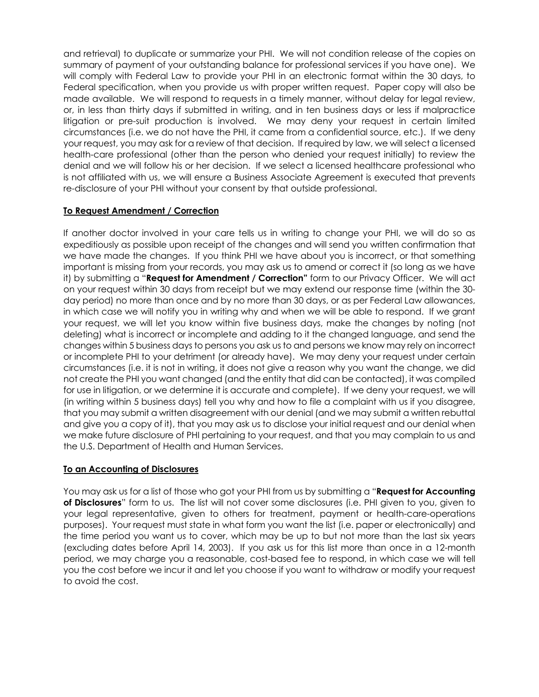and retrieval) to duplicate or summarize your PHI. We will not condition release of the copies on summary of payment of your outstanding balance for professional services if you have one). We will comply with Federal Law to provide your PHI in an electronic format within the 30 days, to Federal specification, when you provide us with proper written request. Paper copy will also be made available. We will respond to requests in a timely manner, without delay for legal review, or, in less than thirty days if submitted in writing, and in ten business days or less if malpractice litigation or pre-suit production is involved. We may deny your request in certain limited circumstances (i.e. we do not have the PHI, it came from a confidential source, etc.). If we deny your request, you may ask for a review of that decision. If required by law, we will select a licensed health-care professional (other than the person who denied your request initially) to review the denial and we will follow his or her decision. If we select a licensed healthcare professional who is not affiliated with us, we will ensure a Business Associate Agreement is executed that prevents re-disclosure of your PHI without your consent by that outside professional.

# **To Request Amendment / Correction**

If another doctor involved in your care tells us in writing to change your PHI, we will do so as expeditiously as possible upon receipt of the changes and will send you written confirmation that we have made the changes. If you think PHI we have about you is incorrect, or that something important is missing from your records, you may ask us to amend or correct it (so long as we have it) by submitting a "**Request for Amendment / Correction"** form to our Privacy Officer. We will act on your request within 30 days from receipt but we may extend our response time (within the 30 day period) no more than once and by no more than 30 days, or as per Federal Law allowances, in which case we will notify you in writing why and when we will be able to respond. If we grant your request, we will let you know within five business days, make the changes by noting (not deleting) what is incorrect or incomplete and adding to it the changed language, and send the changes within 5 business days to persons you ask us to and persons we know may rely on incorrect or incomplete PHI to your detriment (or already have). We may deny your request under certain circumstances (i.e. it is not in writing, it does not give a reason why you want the change, we did not create the PHI you want changed (and the entity that did can be contacted), it was compiled for use in litigation, or we determine it is accurate and complete). If we deny your request, we will (in writing within 5 business days) tell you why and how to file a complaint with us if you disagree, that you may submit a written disagreement with our denial (and we may submit a written rebuttal and give you a copy of it), that you may ask us to disclose your initial request and our denial when we make future disclosure of PHI pertaining to your request, and that you may complain to us and the U.S. Department of Health and Human Services.

## **To an Accounting of Disclosures**

You may ask us for a list of those who got your PHI from us by submitting a "**Request for Accounting of Disclosures**" form to us. The list will not cover some disclosures (i.e. PHI given to you, given to your legal representative, given to others for treatment, payment or health-care-operations purposes). Your request must state in what form you want the list (i.e. paper or electronically) and the time period you want us to cover, which may be up to but not more than the last six years (excluding dates before April 14, 2003). If you ask us for this list more than once in a 12-month period, we may charge you a reasonable, cost-based fee to respond, in which case we will tell you the cost before we incur it and let you choose if you want to withdraw or modify your request to avoid the cost.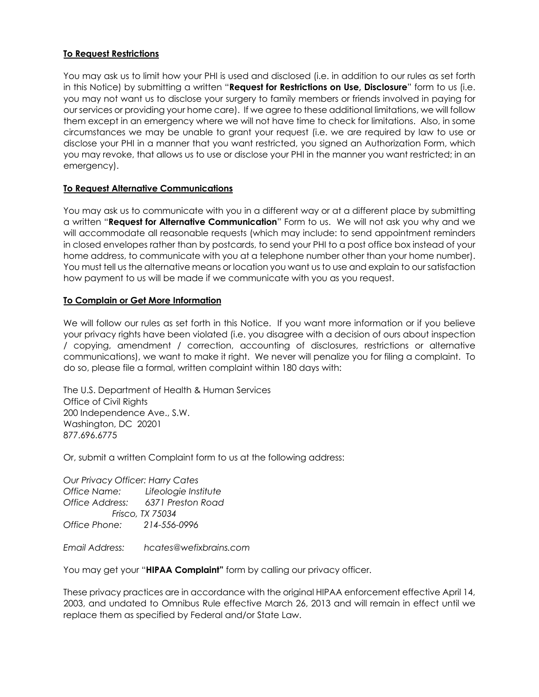# **To Request Restrictions**

You may ask us to limit how your PHI is used and disclosed (i.e. in addition to our rules as set forth in this Notice) by submitting a written "**Request for Restrictions on Use, Disclosure**" form to us (i.e. you may not want us to disclose your surgery to family members or friends involved in paying for our services or providing your home care). If we agree to these additional limitations, we will follow them except in an emergency where we will not have time to check for limitations. Also, in some circumstances we may be unable to grant your request (i.e. we are required by law to use or disclose your PHI in a manner that you want restricted, you signed an Authorization Form, which you may revoke, that allows us to use or disclose your PHI in the manner you want restricted; in an emergency).

## **To Request Alternative Communications**

You may ask us to communicate with you in a different way or at a different place by submitting a written "**Request for Alternative Communication**" Form to us. We will not ask you why and we will accommodate all reasonable requests (which may include: to send appointment reminders in closed envelopes rather than by postcards, to send your PHI to a post office box instead of your home address, to communicate with you at a telephone number other than your home number). You must tell us the alternative means or location you want us to use and explain to our satisfaction how payment to us will be made if we communicate with you as you request.

## **To Complain or Get More Information**

We will follow our rules as set forth in this Notice. If you want more information or if you believe your privacy rights have been violated (i.e. you disagree with a decision of ours about inspection / copying, amendment / correction, accounting of disclosures, restrictions or alternative communications), we want to make it right. We never will penalize you for filing a complaint. To do so, please file a formal, written complaint within 180 days with:

The U.S. Department of Health & Human Services Office of Civil Rights 200 Independence Ave., S.W. Washington, DC 20201 877.696.6775

Or, submit a written Complaint form to us at the following address:

*Our Privacy Officer: Harry Cates Office Name: Lifeologie Institute Office Address: 6371 Preston Road Frisco, TX 75034 Office Phone: 214-556-0996*

*Email Address: hcates@wefixbrains.com*

You may get your "**HIPAA Complaint"** form by calling our privacy officer.

These privacy practices are in accordance with the original HIPAA enforcement effective April 14, 2003, and undated to Omnibus Rule effective March 26, 2013 and will remain in effect until we replace them as specified by Federal and/or State Law.